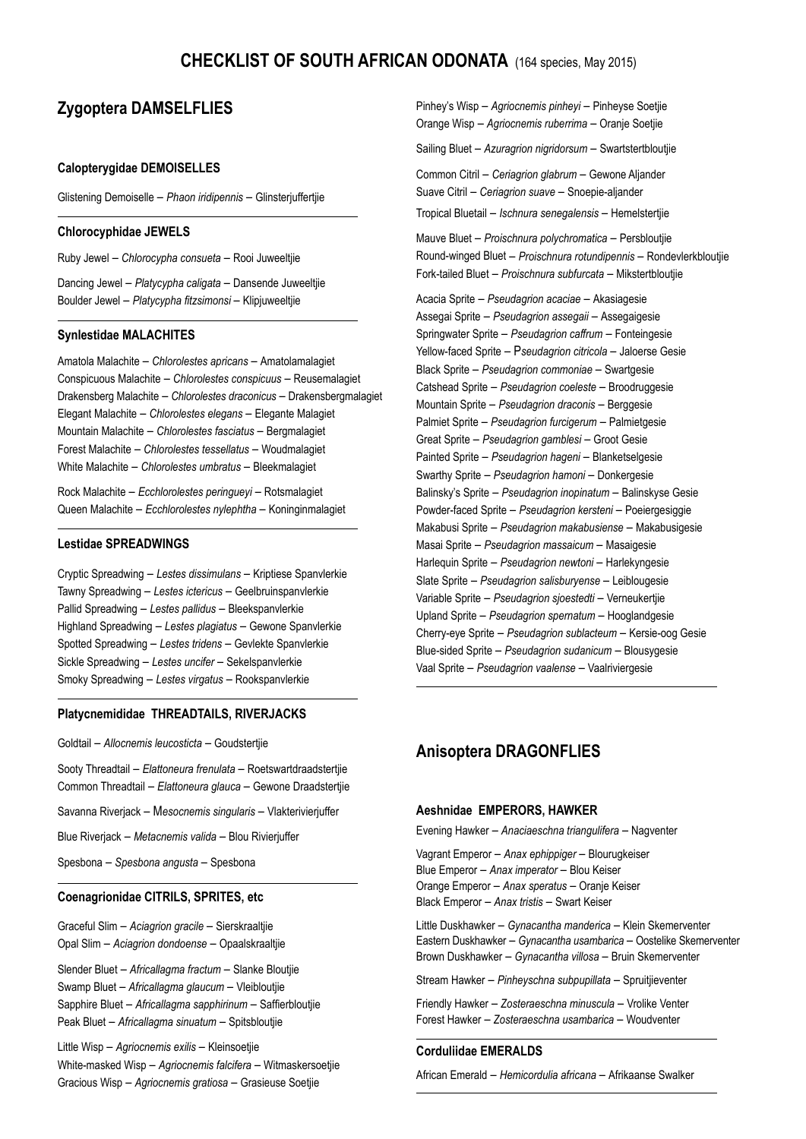# **CHECKLIST OF SOUTH AFRICAN ODONATA** (164 species, May 2015)

# **Zygoptera DAMSELFLIES**

### **Calopterygidae DEMOISELLES**

Glistening Demoiselle – *Phaon iridipennis* – Glinsterjuffertjie

### **Chlorocyphidae JEWELS**

Ruby Jewel – *Chlorocypha consueta* – Rooi Juweeltjie

Dancing Jewel – *Platycypha caligata* – Dansende Juweeltjie Boulder Jewel – *Platycypha fitzsimonsi* – Klipjuweeltjie

### **Synlestidae MALACHITES**

Amatola Malachite – *Chlorolestes apricans* – Amatolamalagiet Conspicuous Malachite – *Chlorolestes conspicuus* – Reusemalagiet Drakensberg Malachite – *Chlorolestes draconicus* – Drakensbergmalagiet Elegant Malachite – *Chlorolestes elegans* – Elegante Malagiet Mountain Malachite – *Chlorolestes fasciatus* – Bergmalagiet Forest Malachite – *Chlorolestes tessellatus* – Woudmalagiet White Malachite – *Chlorolestes umbratus* – Bleekmalagiet

Rock Malachite – *Ecchlorolestes peringueyi* – Rotsmalagiet Queen Malachite – *Ecchlorolestes nylephtha* – Koninginmalagiet

### **Lestidae SPREADWINGS**

Cryptic Spreadwing – *Lestes dissimulans* – Kriptiese Spanvlerkie Tawny Spreadwing – *Lestes ictericus* – Geelbruinspanvlerkie Pallid Spreadwing – *Lestes pallidus* – Bleekspanvlerkie Highland Spreadwing – *Lestes plagiatus* – Gewone Spanvlerkie Spotted Spreadwing – *Lestes tridens* – Gevlekte Spanvlerkie Sickle Spreadwing – *Lestes uncifer* – Sekelspanvlerkie Smoky Spreadwing – *Lestes virgatus* – Rookspanvlerkie

### **Platycnemididae THREADTAILS, RIVERJACKS**

Goldtail – *Allocnemis leucosticta* – Goudstertjie

Sooty Threadtail – *Elattoneura frenulata* – Roetswartdraadstertjie Common Threadtail – *Elattoneura glauca* – Gewone Draadstertjie

Savanna Riverjack – M*esocnemis singularis* – Vlakterivierjuffer

Blue Riverjack – *Metacnemis valida* – Blou Rivierjuffer

Spesbona – *Spesbona angusta* – Spesbona

### **Coenagrionidae CITRILS, SPRITES, etc**

Graceful Slim – *Aciagrion gracile* – Sierskraaltjie Opal Slim – *Aciagrion dondoense* – Opaalskraaltjie

Slender Bluet – *Africallagma fractum* – Slanke Bloutjie Swamp Bluet – *Africallagma glaucum* – Vleibloutjie Sapphire Bluet – *Africallagma sapphirinum* – Saffierbloutjie Peak Bluet – *Africallagma sinuatum* – Spitsbloutjie

Little Wisp – *Agriocnemis exilis* – Kleinsoetjie White-masked Wisp – *Agriocnemis falcifera* – Witmaskersoetjie Gracious Wisp – *Agriocnemis gratiosa* – Grasieuse Soetjie

Pinhey's Wisp – *Agriocnemis pinheyi* – Pinheyse Soetjie Orange Wisp – *Agriocnemis ruberrima* – Oranje Soetjie Sailing Bluet – *Azuragrion nigridorsum* – Swartstertbloutjie Common Citril – *Ceriagrion glabrum* – Gewone Aljander Suave Citril – *Ceriagrion suave* – Snoepie-aljander Tropical Bluetail – *Ischnura senegalensis* – Hemelstertjie Mauve Bluet – *Proischnura polychromatica* – Persbloutjie Round-winged Bluet – *Proischnura rotundipennis* – Rondevlerkbloutjie Fork-tailed Bluet – *Proischnura subfurcata* – Mikstertbloutjie

Acacia Sprite – *Pseudagrion acaciae* – Akasiagesie Assegai Sprite – *Pseudagrion assegaii* – Assegaigesie Springwater Sprite – *Pseudagrion caffrum* – Fonteingesie Yellow-faced Sprite – P*seudagrion citricola* – Jaloerse Gesie Black Sprite – *Pseudagrion commoniae* – Swartgesie Catshead Sprite – *Pseudagrion coeleste* – Broodruggesie Mountain Sprite – *Pseudagrion draconis* – Berggesie Palmiet Sprite – *Pseudagrion furcigerum* – Palmietgesie Great Sprite – *Pseudagrion gamblesi* – Groot Gesie Painted Sprite – *Pseudagrion hageni* – Blanketselgesie Swarthy Sprite – *Pseudagrion hamoni* – Donkergesie Balinsky's Sprite – *Pseudagrion inopinatum* – Balinskyse Gesie Powder-faced Sprite – *Pseudagrion kersteni* – Poeiergesiggie Makabusi Sprite – *Pseudagrion makabusiense* – Makabusigesie Masai Sprite – *Pseudagrion massaicum* – Masaigesie Harlequin Sprite – *Pseudagrion newtoni* – Harlekyngesie Slate Sprite – *Pseudagrion salisburyense* – Leiblougesie Variable Sprite – *Pseudagrion sjoestedti* – Verneukertjie Upland Sprite – *Pseudagrion spernatum* – Hooglandgesie Cherry-eye Sprite – *Pseudagrion sublacteum* – Kersie-oog Gesie Blue-sided Sprite – *Pseudagrion sudanicum* – Blousygesie Vaal Sprite – *Pseudagrion vaalense* – Vaalriviergesie

## **Anisoptera DRAGONFLIES**

### **Aeshnidae EMPERORS, HAWKER**

Evening Hawker – *Anaciaeschna triangulifera* – Nagventer

Vagrant Emperor – *Anax ephippiger* – Blourugkeiser Blue Emperor – *Anax imperator* – Blou Keiser Orange Emperor – *Anax speratus* – Oranje Keiser Black Emperor – *Anax tristis* – Swart Keiser

Little Duskhawker – *Gynacantha manderica* – Klein Skemerventer Eastern Duskhawker – *Gynacantha usambarica* – Oostelike Skemerventer Brown Duskhawker – *Gynacantha villosa* – Bruin Skemerventer

Stream Hawker – *Pinheyschna subpupillata* – Spruitjieventer

Friendly Hawker – *Zosteraeschna minuscula* – Vrolike Venter Forest Hawker – *Zosteraeschna usambarica* – Woudventer

### **Corduliidae EMERALDS**

African Emerald – *Hemicordulia africana* – Afrikaanse Swalker